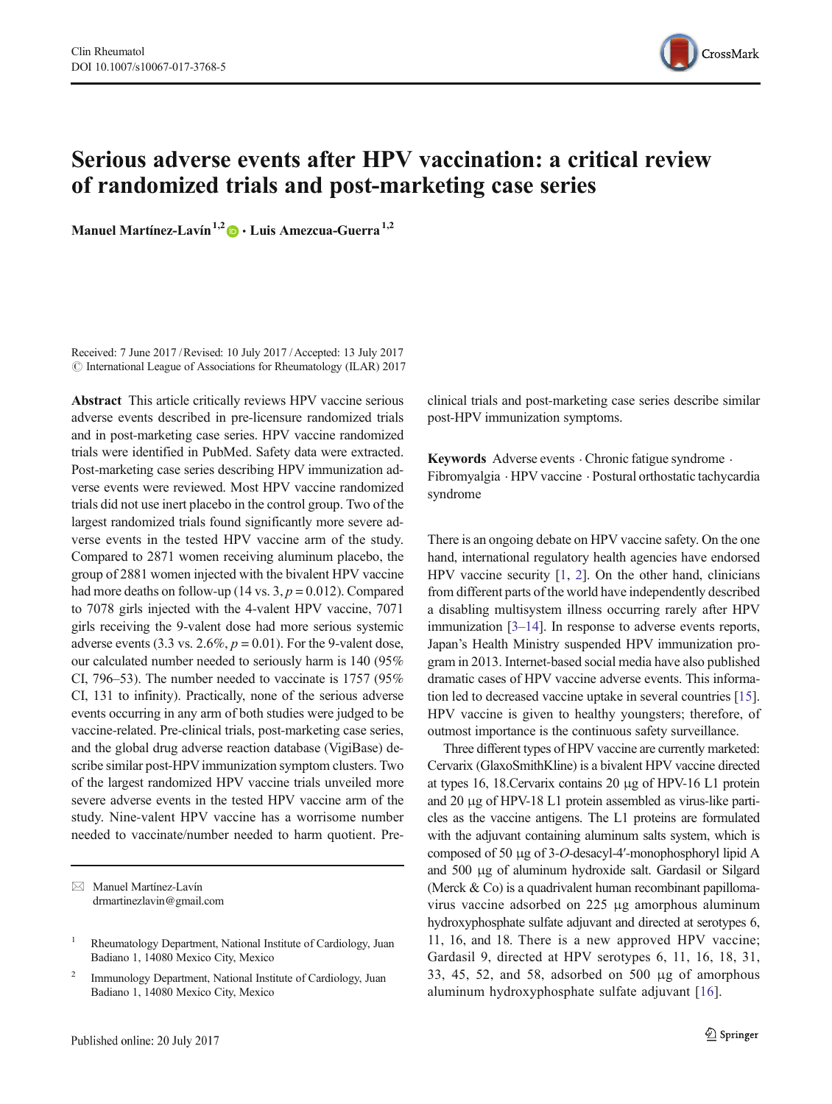

# Serious adverse events after HPV vaccination: a critical review of randomized trials and post-marketing case series

Manuel Martínez-Lavín<sup>1,2</sup>  $\bullet$  · Luis Amezcua-Guerra<sup>1,2</sup>

Received: 7 June 2017 /Revised: 10 July 2017 /Accepted: 13 July 2017  $\circ$  International League of Associations for Rheumatology (ILAR) 2017

Abstract This article critically reviews HPV vaccine serious adverse events described in pre-licensure randomized trials and in post-marketing case series. HPV vaccine randomized trials were identified in PubMed. Safety data were extracted. Post-marketing case series describing HPV immunization adverse events were reviewed. Most HPV vaccine randomized trials did not use inert placebo in the control group. Two of the largest randomized trials found significantly more severe adverse events in the tested HPV vaccine arm of the study. Compared to 2871 women receiving aluminum placebo, the group of 2881 women injected with the bivalent HPV vaccine had more deaths on follow-up (14 vs.  $3, p = 0.012$ ). Compared to 7078 girls injected with the 4-valent HPV vaccine, 7071 girls receiving the 9-valent dose had more serious systemic adverse events (3.3 vs. 2.6%,  $p = 0.01$ ). For the 9-valent dose, our calculated number needed to seriously harm is 140 (95% CI, 796–53). The number needed to vaccinate is 1757 (95% CI, 131 to infinity). Practically, none of the serious adverse events occurring in any arm of both studies were judged to be vaccine-related. Pre-clinical trials, post-marketing case series, and the global drug adverse reaction database (VigiBase) describe similar post-HPV immunization symptom clusters. Two of the largest randomized HPV vaccine trials unveiled more severe adverse events in the tested HPV vaccine arm of the study. Nine-valent HPV vaccine has a worrisome number needed to vaccinate/number needed to harm quotient. Pre-

 $\boxtimes$  Manuel Martínez-Lavín [drmartinezlavin@gmail.com](mailto:drmartinezlavin@gmail.com) clinical trials and post-marketing case series describe similar post-HPV immunization symptoms.

Keywords Adverse events  $\cdot$  Chronic fatigue syndrome  $\cdot$ Fibromyalgia . HPV vaccine . Postural orthostatic tachycardia syndrome

There is an ongoing debate on HPV vaccine safety. On the one hand, international regulatory health agencies have endorsed HPV vaccine security [[1,](#page-7-0) [2\]](#page-7-0). On the other hand, clinicians from different parts of the world have independently described a disabling multisystem illness occurring rarely after HPV immunization [\[3](#page-7-0)–[14\]](#page-8-0). In response to adverse events reports, Japan's Health Ministry suspended HPV immunization program in 2013. Internet-based social media have also published dramatic cases of HPV vaccine adverse events. This information led to decreased vaccine uptake in several countries [[15\]](#page-8-0). HPV vaccine is given to healthy youngsters; therefore, of outmost importance is the continuous safety surveillance.

Three different types of HPV vaccine are currently marketed: Cervarix (GlaxoSmithKline) is a bivalent HPV vaccine directed at types 16, 18.Cervarix contains 20 μg of HPV-16 L1 protein and 20 μg of HPV-18 L1 protein assembled as virus-like particles as the vaccine antigens. The L1 proteins are formulated with the adjuvant containing aluminum salts system, which is composed of 50 μg of 3-O-desacyl-4′-monophosphoryl lipid A and 500 μg of aluminum hydroxide salt. Gardasil or Silgard (Merck & Co) is a quadrivalent human recombinant papillomavirus vaccine adsorbed on 225 μg amorphous aluminum hydroxyphosphate sulfate adjuvant and directed at serotypes 6, 11, 16, and 18. There is a new approved HPV vaccine; Gardasil 9, directed at HPV serotypes 6, 11, 16, 18, 31, 33, 45, 52, and 58, adsorbed on 500 μg of amorphous aluminum hydroxyphosphate sulfate adjuvant [\[16](#page-8-0)].

<sup>1</sup> Rheumatology Department, National Institute of Cardiology, Juan Badiano 1, 14080 Mexico City, Mexico

<sup>2</sup> Immunology Department, National Institute of Cardiology, Juan Badiano 1, 14080 Mexico City, Mexico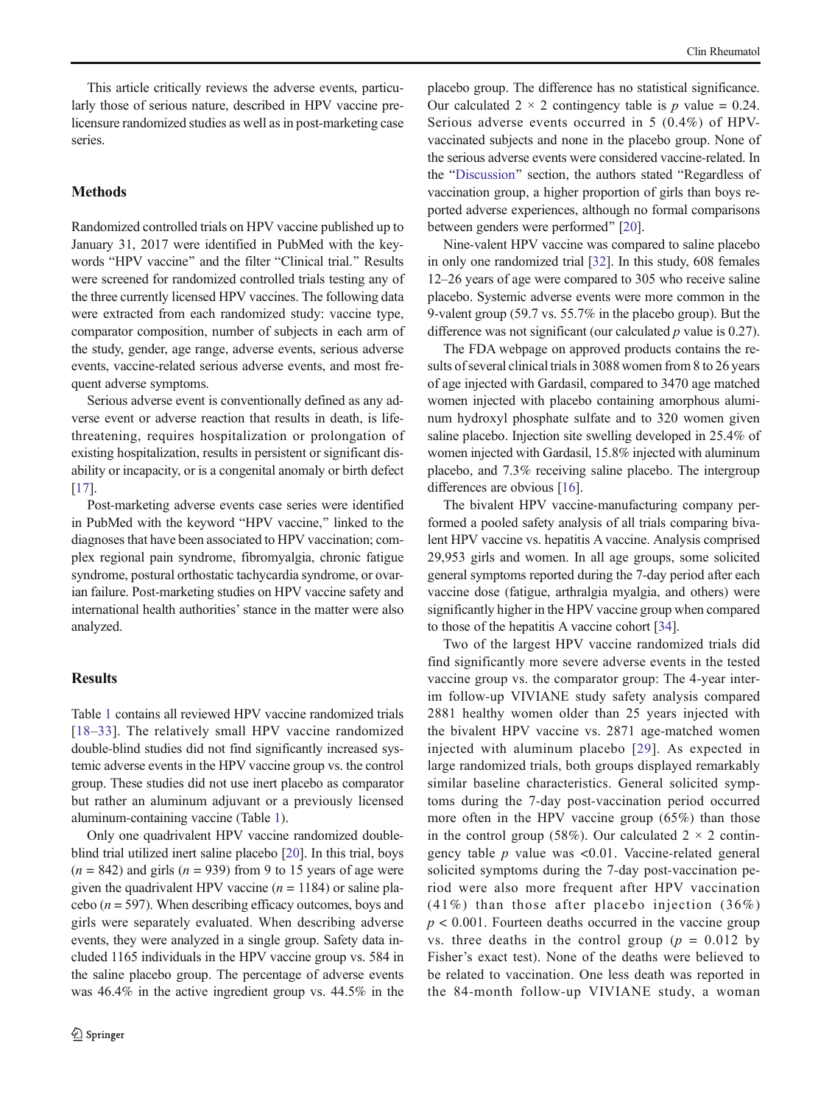This article critically reviews the adverse events, particularly those of serious nature, described in HPV vaccine prelicensure randomized studies as well as in post-marketing case series.

## **Methods**

Randomized controlled trials on HPV vaccine published up to January 31, 2017 were identified in PubMed with the keywords "HPV vaccine" and the filter "Clinical trial." Results were screened for randomized controlled trials testing any of the three currently licensed HPV vaccines. The following data were extracted from each randomized study: vaccine type, comparator composition, number of subjects in each arm of the study, gender, age range, adverse events, serious adverse events, vaccine-related serious adverse events, and most frequent adverse symptoms.

Serious adverse event is conventionally defined as any adverse event or adverse reaction that results in death, is lifethreatening, requires hospitalization or prolongation of existing hospitalization, results in persistent or significant disability or incapacity, or is a congenital anomaly or birth defect [\[17\]](#page-8-0).

Post-marketing adverse events case series were identified in PubMed with the keyword "HPV vaccine," linked to the diagnoses that have been associated to HPV vaccination; complex regional pain syndrome, fibromyalgia, chronic fatigue syndrome, postural orthostatic tachycardia syndrome, or ovarian failure. Post-marketing studies on HPV vaccine safety and international health authorities' stance in the matter were also analyzed.

#### **Results**

Table [1](#page-2-0) contains all reviewed HPV vaccine randomized trials [\[18](#page-8-0)–[33\]](#page-8-0). The relatively small HPV vaccine randomized double-blind studies did not find significantly increased systemic adverse events in the HPV vaccine group vs. the control group. These studies did not use inert placebo as comparator but rather an aluminum adjuvant or a previously licensed aluminum-containing vaccine (Table [1](#page-2-0)).

Only one quadrivalent HPV vaccine randomized doubleblind trial utilized inert saline placebo [[20](#page-8-0)]. In this trial, boys  $(n = 842)$  and girls  $(n = 939)$  from 9 to 15 years of age were given the quadrivalent HPV vaccine  $(n = 1184)$  or saline placebo ( $n = 597$ ). When describing efficacy outcomes, boys and girls were separately evaluated. When describing adverse events, they were analyzed in a single group. Safety data included 1165 individuals in the HPV vaccine group vs. 584 in the saline placebo group. The percentage of adverse events was 46.4% in the active ingredient group vs. 44.5% in the placebo group. The difference has no statistical significance. Our calculated  $2 \times 2$  contingency table is p value = 0.24. Serious adverse events occurred in 5 (0.4%) of HPVvaccinated subjects and none in the placebo group. None of the serious adverse events were considered vaccine-related. In the "[Discussion](#page-5-0)" section, the authors stated "Regardless of vaccination group, a higher proportion of girls than boys reported adverse experiences, although no formal comparisons between genders were performed" [\[20](#page-8-0)].

Nine-valent HPV vaccine was compared to saline placebo in only one randomized trial [\[32](#page-8-0)]. In this study, 608 females 12–26 years of age were compared to 305 who receive saline placebo. Systemic adverse events were more common in the 9-valent group (59.7 vs. 55.7% in the placebo group). But the difference was not significant (our calculated  $p$  value is 0.27).

The FDA webpage on approved products contains the results of several clinical trials in 3088 women from 8 to 26 years of age injected with Gardasil, compared to 3470 age matched women injected with placebo containing amorphous aluminum hydroxyl phosphate sulfate and to 320 women given saline placebo. Injection site swelling developed in 25.4% of women injected with Gardasil, 15.8% injected with aluminum placebo, and 7.3% receiving saline placebo. The intergroup differences are obvious [\[16](#page-8-0)].

The bivalent HPV vaccine-manufacturing company performed a pooled safety analysis of all trials comparing bivalent HPV vaccine vs. hepatitis A vaccine. Analysis comprised 29,953 girls and women. In all age groups, some solicited general symptoms reported during the 7-day period after each vaccine dose (fatigue, arthralgia myalgia, and others) were significantly higher in the HPV vaccine group when compared to those of the hepatitis A vaccine cohort [\[34](#page-8-0)].

Two of the largest HPV vaccine randomized trials did find significantly more severe adverse events in the tested vaccine group vs. the comparator group: The 4-year interim follow-up VIVIANE study safety analysis compared 2881 healthy women older than 25 years injected with the bivalent HPV vaccine vs. 2871 age-matched women injected with aluminum placebo [[29\]](#page-8-0). As expected in large randomized trials, both groups displayed remarkably similar baseline characteristics. General solicited symptoms during the 7-day post-vaccination period occurred more often in the HPV vaccine group (65%) than those in the control group (58%). Our calculated  $2 \times 2$  contingency table  $p$  value was <0.01. Vaccine-related general solicited symptoms during the 7-day post-vaccination period were also more frequent after HPV vaccination (41%) than those after placebo injection (36%)  $p < 0.001$ . Fourteen deaths occurred in the vaccine group vs. three deaths in the control group ( $p = 0.012$  by Fisher's exact test). None of the deaths were believed to be related to vaccination. One less death was reported in the 84-month follow-up VIVIANE study, a woman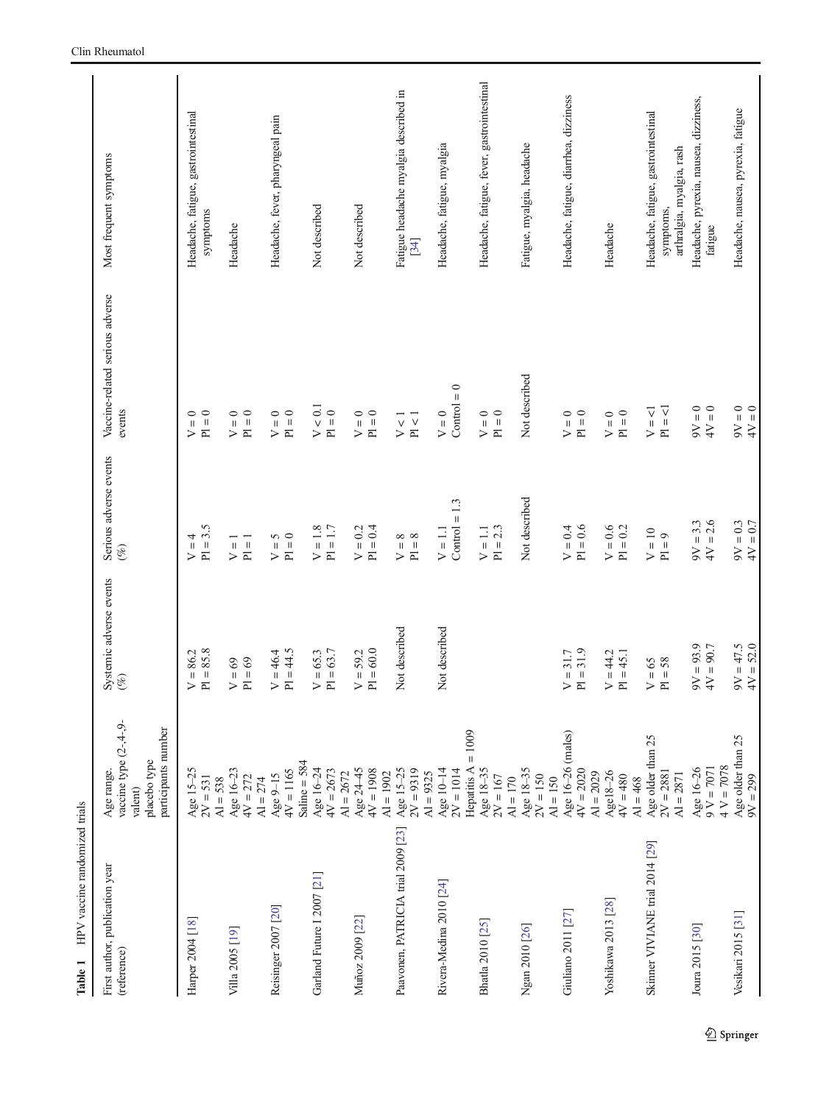<span id="page-2-0"></span>

| HPV vaccine randomized trials<br>Table 1      |                                                                                        |                                         |                                                                                                                      |                                                        |                                                                               |
|-----------------------------------------------|----------------------------------------------------------------------------------------|-----------------------------------------|----------------------------------------------------------------------------------------------------------------------|--------------------------------------------------------|-------------------------------------------------------------------------------|
| First author, publication year<br>(reference) | vaccine type $(2-4-9-$<br>participants number<br>placebo type<br>Age range.<br>valent) | Systemic adverse events<br>(%)          | Serious adverse events<br>$($ %)                                                                                     | Vaccine-related serious adverse<br>events              | Most frequent symptoms                                                        |
| Harper 2004 [18]                              | Age 15-25<br>$2V = 531$                                                                | $PI = 85.8$<br>86.2<br>$\mathbf H$<br>⋗ | $PI = 3.5$<br>4<br>$\mathsf{H}% _{0}\left( \mathcal{M}_{0}\right) =\mathsf{H}_{0}\left( \mathcal{M}_{0}\right)$<br>> | $PI = 0$<br>$\circ$<br>$\mathop{\rm II}\nolimits$<br>> | Headache, fatigue, gastrointestinal<br>symptoms                               |
| Villa 2005 [19]                               | Age 16-23<br>$4V = 272$<br>$AI = 538$                                                  | $PI = 69$<br>${\rm V}=69$               | $P1 = 1$<br>$\overline{1}$<br>>                                                                                      | $P1 = 0$<br>${\cal V}=0$                               | Headache                                                                      |
| Reisinger 2007 [20]                           | $4V = 1165$<br>Age 9-15<br>$AI = 274$                                                  | $PI = 44.5$<br>$V = 46.4$               | $P1 = 0$<br>5<br>$\overline{v}$                                                                                      | $P1 = 0$<br>$V = 0$                                    | Headache, fever, pharyngeal pain                                              |
| Garland Future I 2007 [21]                    | Saline = $584$<br>Age 16-24<br>$4V = 2673$                                             | $PI = 63.7$<br>$V = 65.3$               | $V = 1.8$<br>$= 1.7$<br>$\overline{a}$                                                                               | V < 0.1<br>$P1 = 0$                                    | Not described                                                                 |
| Muñoz 2009 [22]                               | Age 24-45<br>$4V = 1908$<br>$AI = 2672$                                                | $PI = 60.0$<br>$V = 59.2$               | $PI = 0.4$<br>$V = 0.2$                                                                                              | $P1 = 0$<br>$\circ$<br>$\overline{V}$                  | Not described                                                                 |
| Paavonen, PATRICIA trial 2009 [23]            | Age 15-25<br>$2V = 9319$<br>$AI = 1902$                                                | Not described                           | $P1 = 8$<br>${}^{\infty}$<br>$\sf II$<br>$\geq$                                                                      | P1 < 1<br>$V<1$                                        | Fatigue headache myalgia described in<br>$[34]$                               |
| Rivera-Medina 2010 [24]                       | Age 10-14<br>$2V = 1014$<br>$AI = 9325$                                                | Not described                           | $Control = 1.3$<br>$V = 1.1$                                                                                         | $Control = 0$<br>$V = 0$                               | Headache, fatigue, myalgia                                                    |
| Bhatla 2010 [25]                              | $= 1009$<br>Hepatitis A<br>Age 18-35<br>$2V = 167$                                     |                                         | $PI = 2.3$<br>$V = 1.1$                                                                                              | $Pl = 0$<br>${\cal V}=0$                               | Headache, fatigue, fever, gastrointestinal                                    |
| Ngan 2010 [26]                                | Age 18-35<br>$2V = 150$<br>$AI = 170$                                                  |                                         | Not described                                                                                                        | Not described                                          | Fatigue, myalgia, headache                                                    |
| Giuliano 2011 [27]                            | Age 16-26 (males)<br>$4V = 2020$<br>$AI = 150$                                         | $PI = 31.9$<br>$V = 31.7$               | $PI = 0.6$<br>$V = 0.4$                                                                                              | $\circ$<br>${\cal V}=0$<br>$\frac{1}{p}$               | Headache, fatigue, diarrhea, dizziness                                        |
| Yoshikawa 2013 [28]                           | $AI = 2029$<br>Age18-26<br>$4V = 480$                                                  | $V = 44.2$<br>$PI = 45.1$               | $\rm V=0.6$<br>$= 0.2$<br>$\overline{p}$                                                                             | $\circ$<br>$V = 0$<br>$\frac{1}{p}$                    | Headache                                                                      |
| Skinner VIVIANE trial 2014 [29]               | Age older than 25<br>$2V = 2881$<br>$AI = 2871$<br>$AI = 468$                          | $PI = 58$<br>$=65$<br>$\triangleright$  | $= 10$<br>$P1 = 9$<br>$\geq$                                                                                         | $PI = 1$<br>$\triangledown$<br>$\frac{1}{2}$           | Headache, fatigue, gastrointestinal<br>arthralgia, myalgia, rash<br>symptoms, |
| Joura 2015 [30]                               | $4 V = 7078$<br>Age 16-26<br>$V = 7071$                                                | $9V = 93.9$<br>$= 90.7$<br>4V           | $= 2.6$<br>$9V = 3.3$<br>4V                                                                                          | $\circ$<br>$4V = 0$<br>$V = 0$                         | Headache, pyrexia, nausea, dizziness,<br>fatigue                              |
| Vesikari 2015 [31]                            | Age older than 25<br>$9V = 299$                                                        | $9V = 47.5$<br>$4V = 52.0$              | $QV = 0.3$<br>4V = 0.7                                                                                               | $0 = \Delta t$<br>$4V = 0$                             | Headache, nausea, pyrexia, fatigue                                            |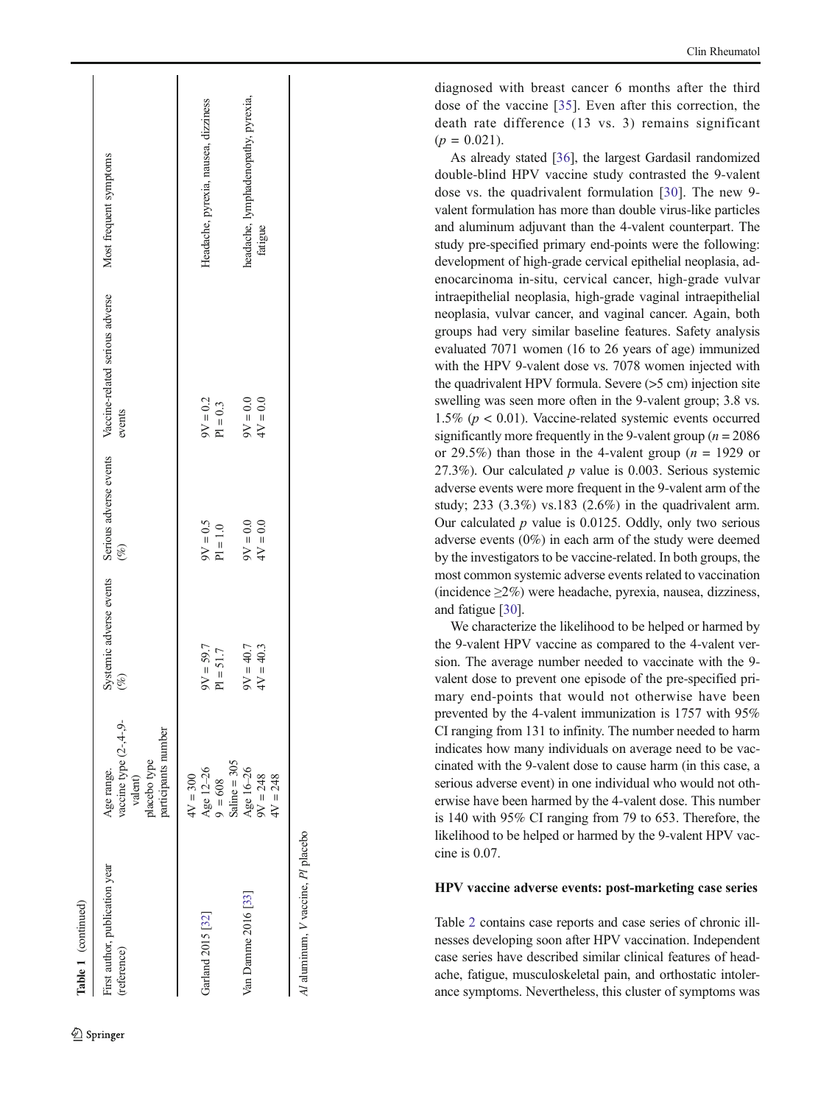| Table 1 (continued)                           |                                                                                        |                  |             |                                                                                          |                                      |
|-----------------------------------------------|----------------------------------------------------------------------------------------|------------------|-------------|------------------------------------------------------------------------------------------|--------------------------------------|
| First author, publication year<br>(reference) | vaccine type $(2-4-9-$<br>participants number<br>placebo type<br>Age range.<br>valent) | $(\%)$           | $(\%)$      | Systemic adverse events Serious adverse events Vaccine-related serious adverse<br>events | Most frequent symptoms               |
| Garland 2015 [32]                             | Age 12-26<br>$4V = 300$                                                                | $V = 59.7$       | $SO = 0.5$  | $9V = 0.2$                                                                               | Headache, pyrexia, nausea, dizziness |
|                                               | $9 = 608$                                                                              | 51.7<br>$P1 = 3$ | $PI = 1.0$  | $PI = 0.3$                                                                               |                                      |
| Van Damme 2016 [33]                           | Saline $=$ 305<br>Age 16-26                                                            | $V = 40.7$       | $0.0 = 0.0$ | $0.0 = \sqrt{6}$                                                                         | headache, lymphadenopathy, pyrexia,  |
|                                               | $9V = 248$<br>$4V = 248$                                                               | $4V = 40.3$      | $4V = 0.0$  | $4V = 0.0$                                                                               | fatigue                              |
| Al aluminum, V vaccine, Pl placebo            |                                                                                        |                  |             |                                                                                          |                                      |

diagnosed with breast cancer 6 months after the third dose of the vaccine [[35](#page-8-0)]. Even after this correction, the death rate difference (13 vs. 3) remains significant  $(p = 0.021)$ .

As already stated [\[36](#page-9-0)], the largest Gardasil randomized double-blind HPV vaccine study contrasted the 9-valent dose vs. the quadrivalent formulation [\[30\]](#page-8-0). The new 9 valent formulation has more than double virus-like particles and aluminum adjuvant than the 4-valent counterpart. The study pre-specified primary end-points were the following: development of high-grade cervical epithelial neoplasia, adenocarcinoma in-situ, cervical cancer, high-grade vulvar intraepithelial neoplasia, high-grade vaginal intraepithelial neoplasia, vulvar cancer, and vaginal cancer. Again, both groups had very similar baseline features. Safety analysis evaluated 7071 women (16 to 26 years of age) immunized with the HPV 9-valent dose vs. 7078 women injected with the quadrivalent HPV formula. Severe (>5 cm) injection site swelling was seen more often in the 9-valent group; 3.8 vs. 1.5% ( $p < 0.01$ ). Vaccine-related systemic events occurred significantly more frequently in the 9-valent group ( $n = 2086$ ) or 29.5%) than those in the 4-valent group ( $n = 1929$  or 27.3%). Our calculated  $p$  value is 0.003. Serious systemic adverse events were more frequent in the 9-valent arm of the study; 233 (3.3%) vs.183 (2.6%) in the quadrivalent arm. Our calculated  $p$  value is 0.0125. Oddly, only two serious adverse events (0%) in each arm of the study were deemed by the investigators to be vaccine-related. In both groups, the most common systemic adverse events related to vaccination (incidence ≥2%) were headache, pyrexia, nausea, dizziness, and fatigue [\[30](#page-8-0)].

We characterize the likelihood to be helped or harmed by the 9-valent HPV vaccine as compared to the 4-valent version. The average number needed to vaccinate with the 9 valent dose to prevent one episode of the pre-specified primary end-points that would not otherwise have been prevented by the 4-valent immunization is 1757 with 95% CI ranging from 131 to infinity. The number needed to harm indicates how many individuals on average need to be vaccinated with the 9-valent dose to cause harm (in this case, a serious adverse event) in one individual who would not otherwise have been harmed by the 4-valent dose. This number is 140 with 95% CI ranging from 79 to 653. Therefore, the likelihood to be helped or harmed by the 9-valent HPV vaccine is 0.07.

#### HPV vaccine adverse events: post-marketing case series

Table [2](#page-4-0) contains case reports and case series of chronic illnesses developing soon after HPV vaccination. Independent case series have described similar clinical features of headache, fatigue, musculoskeletal pain, and orthostatic intolerance symptoms. Nevertheless, this cluster of symptoms was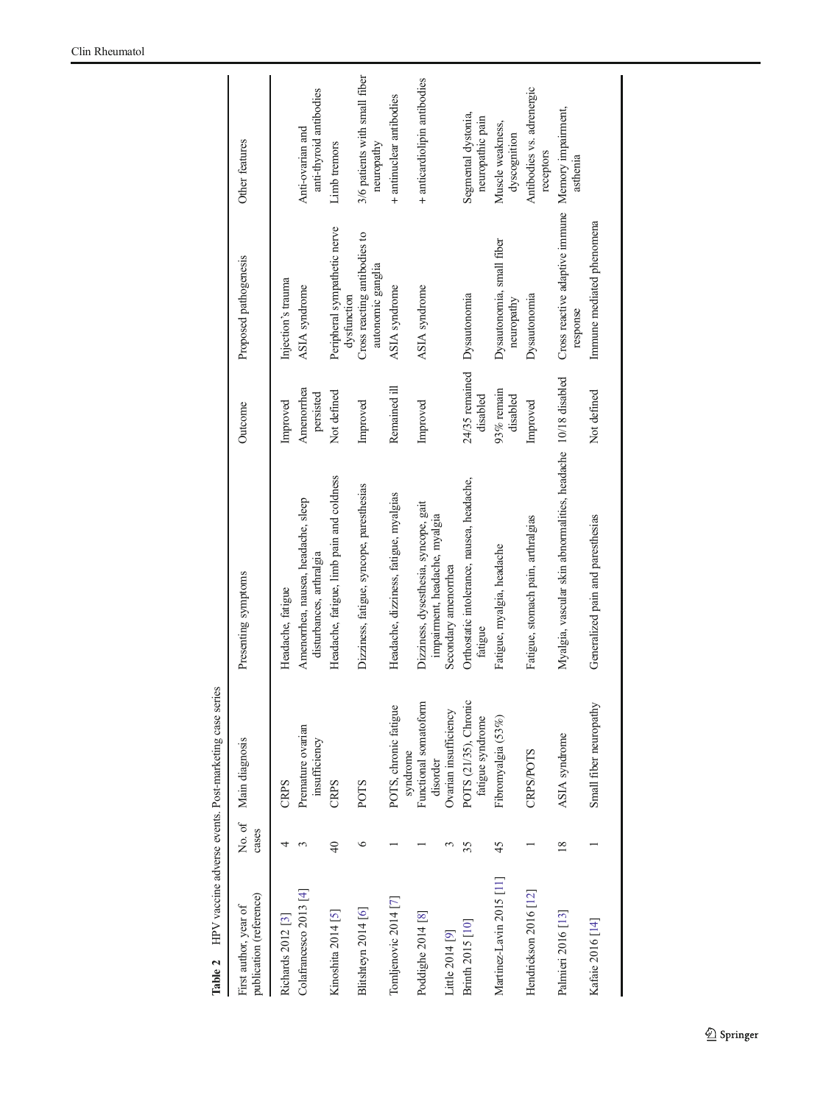<span id="page-4-0"></span>

| Table 2                                          |               | HPV vaccine adverse events. Post-marketing case series |                                                                        |                            |                                                               |                                             |
|--------------------------------------------------|---------------|--------------------------------------------------------|------------------------------------------------------------------------|----------------------------|---------------------------------------------------------------|---------------------------------------------|
| publication (reference)<br>First author, year of | cases         | No. of Main diagnosis                                  | Presenting symptoms                                                    | Outcome                    | Proposed pathogenesis                                         | Other features                              |
| Richards 2012 <sup>[3]</sup>                     |               | CRPS                                                   | Headache, fatigue                                                      | Improved                   | Injection's trauma                                            |                                             |
| Colafrancesco 2013 [4]                           |               | Premature ovarian<br>insufficiency                     | Amenorrhea, nausea, headache, sleep<br>disturbances, arthralgia        | Amenorrhea<br>persisted    | ASIA syndrome                                                 | anti-thyroid antibodies<br>Anti-ovarian and |
| Kinoshita 2014 [5]                               | $\frac{1}{4}$ | CRPS                                                   | Headache, fatigue, limb pain and coldness                              | Not defined                | Peripheral sympathetic nerve<br>dysfunction                   | Limb tremors                                |
| Blitshteyn 2014 [6]                              | ७             | <b>POTS</b>                                            | Dizziness, fatigue, syncope, paresthesias                              | Improved                   | Cross reacting antibodies to<br>autonomic ganglia             | 3/6 patients with small fiber<br>neuropathy |
| Tomljenovic 2014 [7]                             |               | POTS, chronic fatigue<br>syndrome                      | Headache, dizziness, fatigue, myalgias                                 | Remained ill               | ASIA syndrome                                                 | + antinuclear antibodies                    |
| Poddighe 2014 <sup>[8]</sup>                     |               | Functional somatoform<br>disorder                      | Dizziness, dysesthesia, syncope, gait<br>impairment, headache, myalgia | Improved                   | ASIA syndrome                                                 | + anticardiolipin antibodies                |
| Little 2014 [9]                                  |               | Ovarian insufficiency                                  | Secondary amenorrhea                                                   |                            |                                                               |                                             |
| Brinth 2015 [10]                                 | 35            | POTS (21/35), Chronic<br>fatigue syndrome              | Orthostatic intolerance, nausea, headache,<br>fatigue                  | 24/35 remained<br>disabled | Dysautonomia                                                  | Segmental dystonia,<br>neuropathic pain     |
| Martinez-Lavin 2015 [11]                         | 45            | Fibromyalgia (53%)                                     | Fatigue, myalgia, headache                                             | 93% remain<br>disabled     | Dysautonomia, small fiber<br>neuropathy                       | Muscle weakness,<br>dyscognition            |
| Hendrickson 2016 [12]                            |               | <b>CRPS/POTS</b>                                       | Fatigue, stomach pain, arthralgias                                     | Improved                   | Dysautonomia                                                  | Antibodies vs. adrenergic<br>receptors      |
| Palmieri 2016 [13]                               | $\frac{8}{2}$ | ASIA syndrome                                          | Myalgia, vascular skin abnormalities, headache 10/18 disabled          |                            | Cross reactive adaptive immune Memory impairment,<br>response | asthenia                                    |
| Kafaie 2016 [14]                                 |               | Small fiber neuropathy                                 | Generalized pain and paresthesias                                      | Not defined                | Immune mediated phenomena                                     |                                             |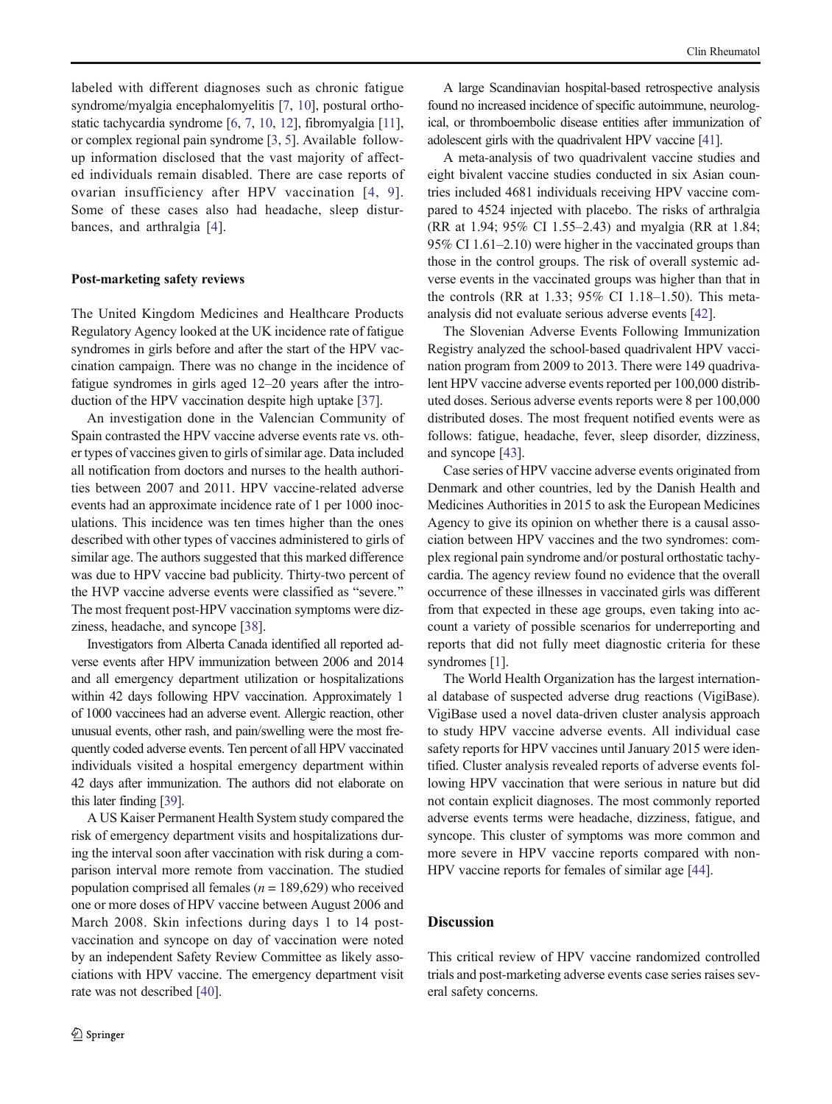<span id="page-5-0"></span>labeled with different diagnoses such as chronic fatigue syndrome/myalgia encephalomyelitis [[7](#page-7-0), [10\]](#page-7-0), postural orthostatic tachycardia syndrome [\[6](#page-7-0), [7](#page-7-0), [10](#page-7-0), [12](#page-8-0)], fibromyalgia [\[11\]](#page-8-0), or complex regional pain syndrome [\[3](#page-7-0), [5\]](#page-7-0). Available followup information disclosed that the vast majority of affected individuals remain disabled. There are case reports of ovarian insufficiency after HPV vaccination [[4,](#page-7-0) [9\]](#page-7-0). Some of these cases also had headache, sleep disturbances, and arthralgia [\[4](#page-7-0)].

#### Post-marketing safety reviews

The United Kingdom Medicines and Healthcare Products Regulatory Agency looked at the UK incidence rate of fatigue syndromes in girls before and after the start of the HPV vaccination campaign. There was no change in the incidence of fatigue syndromes in girls aged 12–20 years after the introduction of the HPV vaccination despite high uptake [[37\]](#page-9-0).

An investigation done in the Valencian Community of Spain contrasted the HPV vaccine adverse events rate vs. other types of vaccines given to girls of similar age. Data included all notification from doctors and nurses to the health authorities between 2007 and 2011. HPV vaccine-related adverse events had an approximate incidence rate of 1 per 1000 inoculations. This incidence was ten times higher than the ones described with other types of vaccines administered to girls of similar age. The authors suggested that this marked difference was due to HPV vaccine bad publicity. Thirty-two percent of the HVP vaccine adverse events were classified as "severe." The most frequent post-HPV vaccination symptoms were dizziness, headache, and syncope [\[38\]](#page-9-0).

Investigators from Alberta Canada identified all reported adverse events after HPV immunization between 2006 and 2014 and all emergency department utilization or hospitalizations within 42 days following HPV vaccination. Approximately 1 of 1000 vaccinees had an adverse event. Allergic reaction, other unusual events, other rash, and pain/swelling were the most frequently coded adverse events. Ten percent of all HPV vaccinated individuals visited a hospital emergency department within 42 days after immunization. The authors did not elaborate on this later finding [\[39\]](#page-9-0).

A US Kaiser Permanent Health System study compared the risk of emergency department visits and hospitalizations during the interval soon after vaccination with risk during a comparison interval more remote from vaccination. The studied population comprised all females ( $n = 189,629$ ) who received one or more doses of HPV vaccine between August 2006 and March 2008. Skin infections during days 1 to 14 postvaccination and syncope on day of vaccination were noted by an independent Safety Review Committee as likely associations with HPV vaccine. The emergency department visit rate was not described [[40](#page-9-0)].

A large Scandinavian hospital-based retrospective analysis found no increased incidence of specific autoimmune, neurological, or thromboembolic disease entities after immunization of adolescent girls with the quadrivalent HPV vaccine [\[41](#page-9-0)].

A meta-analysis of two quadrivalent vaccine studies and eight bivalent vaccine studies conducted in six Asian countries included 4681 individuals receiving HPV vaccine compared to 4524 injected with placebo. The risks of arthralgia (RR at 1.94; 95% CI 1.55–2.43) and myalgia (RR at 1.84; 95% CI 1.61–2.10) were higher in the vaccinated groups than those in the control groups. The risk of overall systemic adverse events in the vaccinated groups was higher than that in the controls (RR at 1.33; 95% CI 1.18–1.50). This metaanalysis did not evaluate serious adverse events [\[42](#page-9-0)].

The Slovenian Adverse Events Following Immunization Registry analyzed the school-based quadrivalent HPV vaccination program from 2009 to 2013. There were 149 quadrivalent HPV vaccine adverse events reported per 100,000 distributed doses. Serious adverse events reports were 8 per 100,000 distributed doses. The most frequent notified events were as follows: fatigue, headache, fever, sleep disorder, dizziness, and syncope [[43](#page-9-0)].

Case series of HPV vaccine adverse events originated from Denmark and other countries, led by the Danish Health and Medicines Authorities in 2015 to ask the European Medicines Agency to give its opinion on whether there is a causal association between HPV vaccines and the two syndromes: complex regional pain syndrome and/or postural orthostatic tachycardia. The agency review found no evidence that the overall occurrence of these illnesses in vaccinated girls was different from that expected in these age groups, even taking into account a variety of possible scenarios for underreporting and reports that did not fully meet diagnostic criteria for these syndromes [\[1\]](#page-7-0).

The World Health Organization has the largest international database of suspected adverse drug reactions (VigiBase). VigiBase used a novel data-driven cluster analysis approach to study HPV vaccine adverse events. All individual case safety reports for HPV vaccines until January 2015 were identified. Cluster analysis revealed reports of adverse events following HPV vaccination that were serious in nature but did not contain explicit diagnoses. The most commonly reported adverse events terms were headache, dizziness, fatigue, and syncope. This cluster of symptoms was more common and more severe in HPV vaccine reports compared with non-HPV vaccine reports for females of similar age [\[44](#page-9-0)].

#### Discussion

This critical review of HPV vaccine randomized controlled trials and post-marketing adverse events case series raises several safety concerns.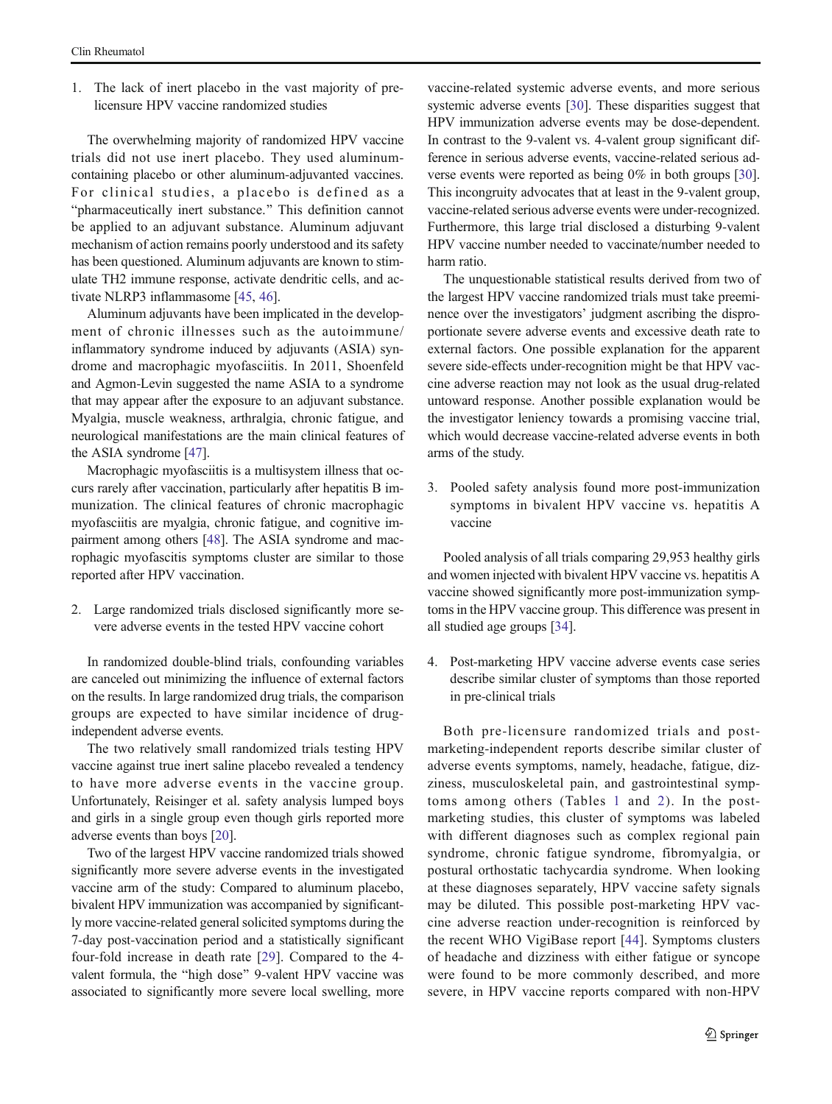1. The lack of inert placebo in the vast majority of prelicensure HPV vaccine randomized studies

The overwhelming majority of randomized HPV vaccine trials did not use inert placebo. They used aluminumcontaining placebo or other aluminum-adjuvanted vaccines. For clinical studies, a placebo is defined as a "pharmaceutically inert substance." This definition cannot be applied to an adjuvant substance. Aluminum adjuvant mechanism of action remains poorly understood and its safety has been questioned. Aluminum adjuvants are known to stimulate TH2 immune response, activate dendritic cells, and activate NLRP3 inflammasome [[45,](#page-9-0) [46](#page-9-0)].

Aluminum adjuvants have been implicated in the development of chronic illnesses such as the autoimmune/ inflammatory syndrome induced by adjuvants (ASIA) syndrome and macrophagic myofasciitis. In 2011, Shoenfeld and Agmon-Levin suggested the name ASIA to a syndrome that may appear after the exposure to an adjuvant substance. Myalgia, muscle weakness, arthralgia, chronic fatigue, and neurological manifestations are the main clinical features of the ASIA syndrome [\[47\]](#page-9-0).

Macrophagic myofasciitis is a multisystem illness that occurs rarely after vaccination, particularly after hepatitis B immunization. The clinical features of chronic macrophagic myofasciitis are myalgia, chronic fatigue, and cognitive impairment among others [\[48\]](#page-9-0). The ASIA syndrome and macrophagic myofascitis symptoms cluster are similar to those reported after HPV vaccination.

2. Large randomized trials disclosed significantly more severe adverse events in the tested HPV vaccine cohort

In randomized double-blind trials, confounding variables are canceled out minimizing the influence of external factors on the results. In large randomized drug trials, the comparison groups are expected to have similar incidence of drugindependent adverse events.

The two relatively small randomized trials testing HPV vaccine against true inert saline placebo revealed a tendency to have more adverse events in the vaccine group. Unfortunately, Reisinger et al. safety analysis lumped boys and girls in a single group even though girls reported more adverse events than boys [\[20\]](#page-8-0).

Two of the largest HPV vaccine randomized trials showed significantly more severe adverse events in the investigated vaccine arm of the study: Compared to aluminum placebo, bivalent HPV immunization was accompanied by significantly more vaccine-related general solicited symptoms during the 7-day post-vaccination period and a statistically significant four-fold increase in death rate [\[29](#page-8-0)]. Compared to the 4 valent formula, the "high dose" 9-valent HPV vaccine was associated to significantly more severe local swelling, more

vaccine-related systemic adverse events, and more serious systemic adverse events [\[30\]](#page-8-0). These disparities suggest that HPV immunization adverse events may be dose-dependent. In contrast to the 9-valent vs. 4-valent group significant difference in serious adverse events, vaccine-related serious adverse events were reported as being 0% in both groups [[30\]](#page-8-0). This incongruity advocates that at least in the 9-valent group, vaccine-related serious adverse events were under-recognized. Furthermore, this large trial disclosed a disturbing 9-valent HPV vaccine number needed to vaccinate/number needed to harm ratio.

The unquestionable statistical results derived from two of the largest HPV vaccine randomized trials must take preeminence over the investigators' judgment ascribing the disproportionate severe adverse events and excessive death rate to external factors. One possible explanation for the apparent severe side-effects under-recognition might be that HPV vaccine adverse reaction may not look as the usual drug-related untoward response. Another possible explanation would be the investigator leniency towards a promising vaccine trial, which would decrease vaccine-related adverse events in both arms of the study.

3. Pooled safety analysis found more post-immunization symptoms in bivalent HPV vaccine vs. hepatitis A vaccine

Pooled analysis of all trials comparing 29,953 healthy girls and women injected with bivalent HPV vaccine vs. hepatitis A vaccine showed significantly more post-immunization symptoms in the HPV vaccine group. This difference was present in all studied age groups [\[34](#page-8-0)].

4. Post-marketing HPV vaccine adverse events case series describe similar cluster of symptoms than those reported in pre-clinical trials

Both pre-licensure randomized trials and postmarketing-independent reports describe similar cluster of adverse events symptoms, namely, headache, fatigue, dizziness, musculoskeletal pain, and gastrointestinal symptoms among others (Tables [1](#page-2-0) and [2\)](#page-4-0). In the postmarketing studies, this cluster of symptoms was labeled with different diagnoses such as complex regional pain syndrome, chronic fatigue syndrome, fibromyalgia, or postural orthostatic tachycardia syndrome. When looking at these diagnoses separately, HPV vaccine safety signals may be diluted. This possible post-marketing HPV vaccine adverse reaction under-recognition is reinforced by the recent WHO VigiBase report [[44\]](#page-9-0). Symptoms clusters of headache and dizziness with either fatigue or syncope were found to be more commonly described, and more severe, in HPV vaccine reports compared with non-HPV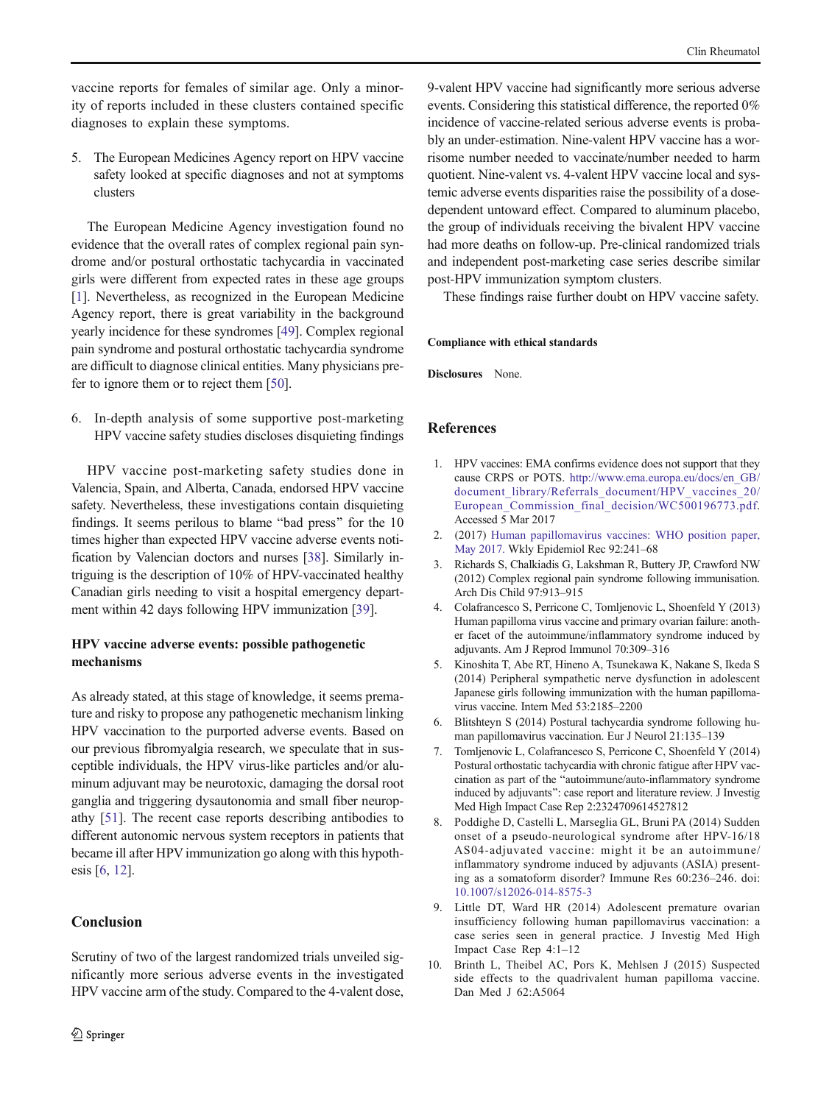<span id="page-7-0"></span>vaccine reports for females of similar age. Only a minority of reports included in these clusters contained specific diagnoses to explain these symptoms.

5. The European Medicines Agency report on HPV vaccine safety looked at specific diagnoses and not at symptoms clusters

The European Medicine Agency investigation found no evidence that the overall rates of complex regional pain syndrome and/or postural orthostatic tachycardia in vaccinated girls were different from expected rates in these age groups [1]. Nevertheless, as recognized in the European Medicine Agency report, there is great variability in the background yearly incidence for these syndromes [\[49](#page-9-0)]. Complex regional pain syndrome and postural orthostatic tachycardia syndrome are difficult to diagnose clinical entities. Many physicians prefer to ignore them or to reject them [[50](#page-9-0)].

6. In-depth analysis of some supportive post-marketing HPV vaccine safety studies discloses disquieting findings

HPV vaccine post-marketing safety studies done in Valencia, Spain, and Alberta, Canada, endorsed HPV vaccine safety. Nevertheless, these investigations contain disquieting findings. It seems perilous to blame "bad press" for the 10 times higher than expected HPV vaccine adverse events notification by Valencian doctors and nurses [\[38\]](#page-9-0). Similarly intriguing is the description of 10% of HPV-vaccinated healthy Canadian girls needing to visit a hospital emergency department within 42 days following HPV immunization [[39\]](#page-9-0).

## HPV vaccine adverse events: possible pathogenetic mechanisms

As already stated, at this stage of knowledge, it seems premature and risky to propose any pathogenetic mechanism linking HPV vaccination to the purported adverse events. Based on our previous fibromyalgia research, we speculate that in susceptible individuals, the HPV virus-like particles and/or aluminum adjuvant may be neurotoxic, damaging the dorsal root ganglia and triggering dysautonomia and small fiber neuropathy [[51\]](#page-9-0). The recent case reports describing antibodies to different autonomic nervous system receptors in patients that became ill after HPV immunization go along with this hypothesis [6, [12\]](#page-8-0).

# Conclusion

Scrutiny of two of the largest randomized trials unveiled significantly more serious adverse events in the investigated HPV vaccine arm of the study. Compared to the 4-valent dose, 9-valent HPV vaccine had significantly more serious adverse events. Considering this statistical difference, the reported 0% incidence of vaccine-related serious adverse events is probably an under-estimation. Nine-valent HPV vaccine has a worrisome number needed to vaccinate/number needed to harm quotient. Nine-valent vs. 4-valent HPV vaccine local and systemic adverse events disparities raise the possibility of a dosedependent untoward effect. Compared to aluminum placebo, the group of individuals receiving the bivalent HPV vaccine had more deaths on follow-up. Pre-clinical randomized trials and independent post-marketing case series describe similar post-HPV immunization symptom clusters.

These findings raise further doubt on HPV vaccine safety.

## Compliance with ethical standards

Disclosures None.

## References

- 1. HPV vaccines: EMA confirms evidence does not support that they cause CRPS or POTS. [http://www.ema.europa.eu/docs/en\\_GB/](http://www.ema.europa.eu/docs/en_GB/document_library/Referrals_document/HPV_vaccines_20/European_Commission_final_decision/WC500196773.pdf) [document\\_library/Referrals\\_document/HPV\\_vaccines\\_20/](http://www.ema.europa.eu/docs/en_GB/document_library/Referrals_document/HPV_vaccines_20/European_Commission_final_decision/WC500196773.pdf) European Commission final decision/WC500196773.pdf. Accessed 5 Mar 2017
- 2. (2017) [Human papillomavirus vaccines: WHO position paper,](https://www.ncbi.nlm.nih.gov/pubmed/28530369) [May 2017.](https://www.ncbi.nlm.nih.gov/pubmed/28530369) Wkly Epidemiol Rec 92:241–68
- 3. Richards S, Chalkiadis G, Lakshman R, Buttery JP, Crawford NW (2012) Complex regional pain syndrome following immunisation. Arch Dis Child 97:913–915
- 4. Colafrancesco S, Perricone C, Tomljenovic L, Shoenfeld Y (2013) Human papilloma virus vaccine and primary ovarian failure: another facet of the autoimmune/inflammatory syndrome induced by adjuvants. Am J Reprod Immunol 70:309–316
- 5. Kinoshita T, Abe RT, Hineno A, Tsunekawa K, Nakane S, Ikeda S (2014) Peripheral sympathetic nerve dysfunction in adolescent Japanese girls following immunization with the human papillomavirus vaccine. Intern Med 53:2185–2200
- 6. Blitshteyn S (2014) Postural tachycardia syndrome following human papillomavirus vaccination. Eur J Neurol 21:135–139
- 7. Tomljenovic L, Colafrancesco S, Perricone C, Shoenfeld Y (2014) Postural orthostatic tachycardia with chronic fatigue after HPV vaccination as part of the "autoimmune/auto-inflammatory syndrome induced by adjuvants": case report and literature review. J Investig Med High Impact Case Rep 2:2324709614527812
- 8. Poddighe D, Castelli L, Marseglia GL, Bruni PA (2014) Sudden onset of a pseudo-neurological syndrome after HPV-16/18 AS04-adjuvated vaccine: might it be an autoimmune/ inflammatory syndrome induced by adjuvants (ASIA) presenting as a somatoform disorder? Immune Res 60:236–246. doi: [10.1007/s12026-014-8575-3](http://dx.doi.org/10.1007/s12026-014-8575-3)
- 9. Little DT, Ward HR (2014) Adolescent premature ovarian insufficiency following human papillomavirus vaccination: a case series seen in general practice. J Investig Med High Impact Case Rep 4:1–12
- 10. Brinth L, Theibel AC, Pors K, Mehlsen J (2015) Suspected side effects to the quadrivalent human papilloma vaccine. Dan Med J 62:A5064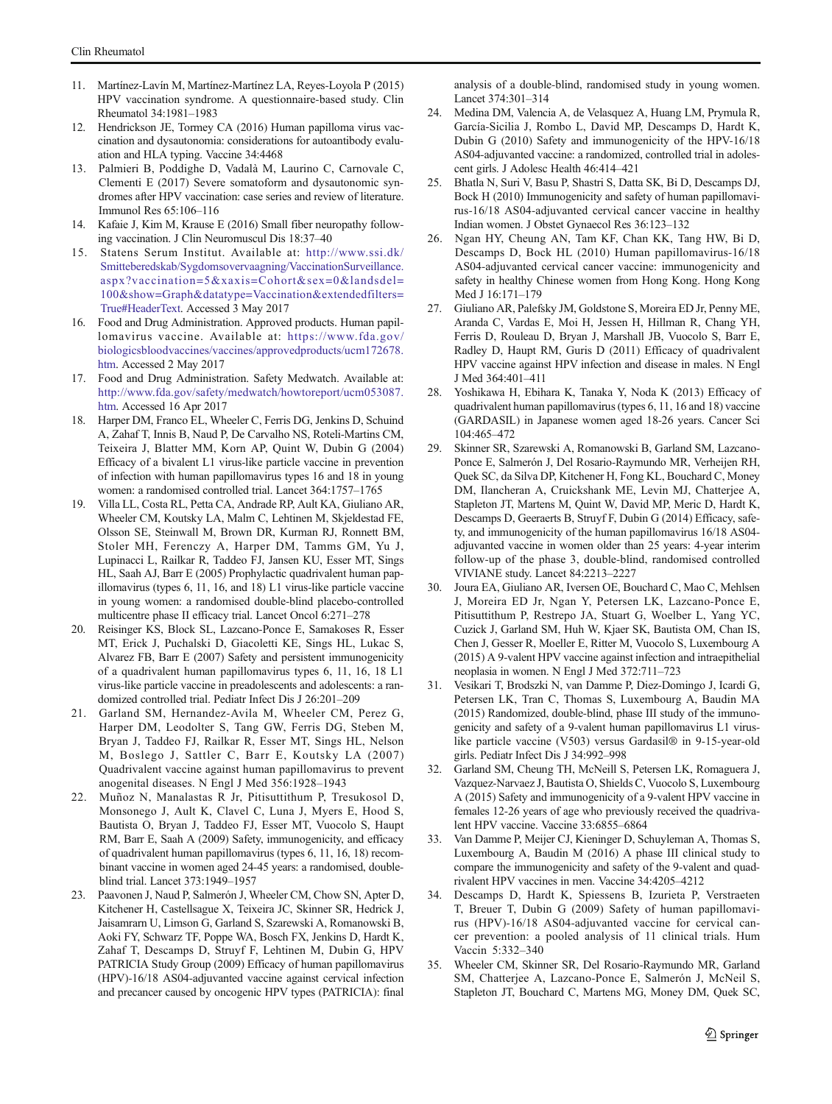- <span id="page-8-0"></span>11. Martínez-Lavín M, Martínez-Martínez LA, Reyes-Loyola P (2015) HPV vaccination syndrome. A questionnaire-based study. Clin Rheumatol 34:1981–1983
- 12. Hendrickson JE, Tormey CA (2016) Human papilloma virus vaccination and dysautonomia: considerations for autoantibody evaluation and HLA typing. Vaccine 34:4468
- 13. Palmieri B, Poddighe D, Vadalà M, Laurino C, Carnovale C, Clementi E (2017) Severe somatoform and dysautonomic syndromes after HPV vaccination: case series and review of literature. Immunol Res 65:106–116
- 14. Kafaie J, Kim M, Krause E (2016) Small fiber neuropathy following vaccination. J Clin Neuromuscul Dis 18:37–40
- 15. Statens Serum Institut. Available at: [http://www.ssi.dk/](http://www.ssi.dk/Smitteberedskab/Sygdomsovervaagning/VaccinationSurveillance.aspx?vaccination=5&xaxis=Cohort&sex=0&landsdel=100&show=Graph&datatype=Vaccination&extendedfilters=True%23HeaderText) [Smitteberedskab/Sygdomsovervaagning/VaccinationSurveillance.](http://www.ssi.dk/Smitteberedskab/Sygdomsovervaagning/VaccinationSurveillance.aspx?vaccination=5&xaxis=Cohort&sex=0&landsdel=100&show=Graph&datatype=Vaccination&extendedfilters=True%23HeaderText) [aspx?vaccination=5&xaxis=Cohort&sex=0&landsdel=](http://www.ssi.dk/Smitteberedskab/Sygdomsovervaagning/VaccinationSurveillance.aspx?vaccination=5&xaxis=Cohort&sex=0&landsdel=100&show=Graph&datatype=Vaccination&extendedfilters=True%23HeaderText) [100&show=Graph&datatype=Vaccination&extendedfilters=](http://www.ssi.dk/Smitteberedskab/Sygdomsovervaagning/VaccinationSurveillance.aspx?vaccination=5&xaxis=Cohort&sex=0&landsdel=100&show=Graph&datatype=Vaccination&extendedfilters=True%23HeaderText) [True#HeaderText](http://www.ssi.dk/Smitteberedskab/Sygdomsovervaagning/VaccinationSurveillance.aspx?vaccination=5&xaxis=Cohort&sex=0&landsdel=100&show=Graph&datatype=Vaccination&extendedfilters=True%23HeaderText). Accessed 3 May 2017
- 16. Food and Drug Administration. Approved products. Human papillomavirus vaccine. Available at: [https://www.fda.gov/](https://www.fda.gov/biologicsbloodvaccines/vaccines/approvedproducts/ucm172678.htm) [biologicsbloodvaccines/vaccines/approvedproducts/ucm172678.](https://www.fda.gov/biologicsbloodvaccines/vaccines/approvedproducts/ucm172678.htm) [htm.](https://www.fda.gov/biologicsbloodvaccines/vaccines/approvedproducts/ucm172678.htm) Accessed 2 May 2017
- 17. Food and Drug Administration. Safety Medwatch. Available at: [http://www.fda.gov/safety/medwatch/howtoreport/ucm053087.](http://www.fda.gov/safety/medwatch/howtoreport/ucm053087.htm) [htm](http://www.fda.gov/safety/medwatch/howtoreport/ucm053087.htm). Accessed 16 Apr 2017
- 18. Harper DM, Franco EL, Wheeler C, Ferris DG, Jenkins D, Schuind A, Zahaf T, Innis B, Naud P, De Carvalho NS, Roteli-Martins CM, Teixeira J, Blatter MM, Korn AP, Quint W, Dubin G (2004) Efficacy of a bivalent L1 virus-like particle vaccine in prevention of infection with human papillomavirus types 16 and 18 in young women: a randomised controlled trial. Lancet 364:1757–1765
- 19. Villa LL, Costa RL, Petta CA, Andrade RP, Ault KA, Giuliano AR, Wheeler CM, Koutsky LA, Malm C, Lehtinen M, Skjeldestad FE, Olsson SE, Steinwall M, Brown DR, Kurman RJ, Ronnett BM, Stoler MH, Ferenczy A, Harper DM, Tamms GM, Yu J, Lupinacci L, Railkar R, Taddeo FJ, Jansen KU, Esser MT, Sings HL, Saah AJ, Barr E (2005) Prophylactic quadrivalent human papillomavirus (types 6, 11, 16, and 18) L1 virus-like particle vaccine in young women: a randomised double-blind placebo-controlled multicentre phase II efficacy trial. Lancet Oncol 6:271–278
- 20. Reisinger KS, Block SL, Lazcano-Ponce E, Samakoses R, Esser MT, Erick J, Puchalski D, Giacoletti KE, Sings HL, Lukac S, Alvarez FB, Barr E (2007) Safety and persistent immunogenicity of a quadrivalent human papillomavirus types 6, 11, 16, 18 L1 virus-like particle vaccine in preadolescents and adolescents: a randomized controlled trial. Pediatr Infect Dis J 26:201–209
- 21. Garland SM, Hernandez-Avila M, Wheeler CM, Perez G, Harper DM, Leodolter S, Tang GW, Ferris DG, Steben M, Bryan J, Taddeo FJ, Railkar R, Esser MT, Sings HL, Nelson M, Boslego J, Sattler C, Barr E, Koutsky LA (2007) Quadrivalent vaccine against human papillomavirus to prevent anogenital diseases. N Engl J Med 356:1928–1943
- 22. Muñoz N, Manalastas R Jr, Pitisuttithum P, Tresukosol D, Monsonego J, Ault K, Clavel C, Luna J, Myers E, Hood S, Bautista O, Bryan J, Taddeo FJ, Esser MT, Vuocolo S, Haupt RM, Barr E, Saah A (2009) Safety, immunogenicity, and efficacy of quadrivalent human papillomavirus (types 6, 11, 16, 18) recombinant vaccine in women aged 24-45 years: a randomised, doubleblind trial. Lancet 373:1949–1957
- 23. Paavonen J, Naud P, Salmerón J, Wheeler CM, Chow SN, Apter D, Kitchener H, Castellsague X, Teixeira JC, Skinner SR, Hedrick J, Jaisamrarn U, Limson G, Garland S, Szarewski A, Romanowski B, Aoki FY, Schwarz TF, Poppe WA, Bosch FX, Jenkins D, Hardt K, Zahaf T, Descamps D, Struyf F, Lehtinen M, Dubin G, HPV PATRICIA Study Group (2009) Efficacy of human papillomavirus (HPV)-16/18 AS04-adjuvanted vaccine against cervical infection and precancer caused by oncogenic HPV types (PATRICIA): final

analysis of a double-blind, randomised study in young women. Lancet 374:301–314

- 24. Medina DM, Valencia A, de Velasquez A, Huang LM, Prymula R, García-Sicilia J, Rombo L, David MP, Descamps D, Hardt K, Dubin G (2010) Safety and immunogenicity of the HPV-16/18 AS04-adjuvanted vaccine: a randomized, controlled trial in adolescent girls. J Adolesc Health 46:414–421
- 25. Bhatla N, Suri V, Basu P, Shastri S, Datta SK, Bi D, Descamps DJ, Bock H (2010) Immunogenicity and safety of human papillomavirus-16/18 AS04-adjuvanted cervical cancer vaccine in healthy Indian women. J Obstet Gynaecol Res 36:123–132
- 26. Ngan HY, Cheung AN, Tam KF, Chan KK, Tang HW, Bi D, Descamps D, Bock HL (2010) Human papillomavirus-16/18 AS04-adjuvanted cervical cancer vaccine: immunogenicity and safety in healthy Chinese women from Hong Kong. Hong Kong Med J 16:171–179
- 27. Giuliano AR, Palefsky JM, Goldstone S, Moreira ED Jr, Penny ME, Aranda C, Vardas E, Moi H, Jessen H, Hillman R, Chang YH, Ferris D, Rouleau D, Bryan J, Marshall JB, Vuocolo S, Barr E, Radley D, Haupt RM, Guris D (2011) Efficacy of quadrivalent HPV vaccine against HPV infection and disease in males. N Engl J Med 364:401–411
- 28. Yoshikawa H, Ebihara K, Tanaka Y, Noda K (2013) Efficacy of quadrivalent human papillomavirus (types 6, 11, 16 and 18) vaccine (GARDASIL) in Japanese women aged 18-26 years. Cancer Sci 104:465–472
- 29. Skinner SR, Szarewski A, Romanowski B, Garland SM, Lazcano-Ponce E, Salmerón J, Del Rosario-Raymundo MR, Verheijen RH, Quek SC, da Silva DP, Kitchener H, Fong KL, Bouchard C, Money DM, Ilancheran A, Cruickshank ME, Levin MJ, Chatterjee A, Stapleton JT, Martens M, Quint W, David MP, Meric D, Hardt K, Descamps D, Geeraerts B, Struyf F, Dubin G (2014) Efficacy, safety, and immunogenicity of the human papillomavirus 16/18 AS04 adjuvanted vaccine in women older than 25 years: 4-year interim follow-up of the phase 3, double-blind, randomised controlled VIVIANE study. Lancet 84:2213–2227
- 30. Joura EA, Giuliano AR, Iversen OE, Bouchard C, Mao C, Mehlsen J, Moreira ED Jr, Ngan Y, Petersen LK, Lazcano-Ponce E, Pitisuttithum P, Restrepo JA, Stuart G, Woelber L, Yang YC, Cuzick J, Garland SM, Huh W, Kjaer SK, Bautista OM, Chan IS, Chen J, Gesser R, Moeller E, Ritter M, Vuocolo S, Luxembourg A (2015) A 9-valent HPV vaccine against infection and intraepithelial neoplasia in women. N Engl J Med 372:711–723
- 31. Vesikari T, Brodszki N, van Damme P, Diez-Domingo J, Icardi G, Petersen LK, Tran C, Thomas S, Luxembourg A, Baudin MA (2015) Randomized, double-blind, phase III study of the immunogenicity and safety of a 9-valent human papillomavirus L1 viruslike particle vaccine (V503) versus Gardasil® in 9-15-year-old girls. Pediatr Infect Dis J 34:992–998
- 32. Garland SM, Cheung TH, McNeill S, Petersen LK, Romaguera J, Vazquez-Narvaez J, Bautista O, Shields C, Vuocolo S, Luxembourg A (2015) Safety and immunogenicity of a 9-valent HPV vaccine in females 12-26 years of age who previously received the quadrivalent HPV vaccine. Vaccine 33:6855-6864
- 33. Van Damme P, Meijer CJ, Kieninger D, Schuyleman A, Thomas S, Luxembourg A, Baudin M (2016) A phase III clinical study to compare the immunogenicity and safety of the 9-valent and quadrivalent HPV vaccines in men. Vaccine 34:4205–4212
- 34. Descamps D, Hardt K, Spiessens B, Izurieta P, Verstraeten T, Breuer T, Dubin G (2009) Safety of human papillomavirus (HPV)-16/18 AS04-adjuvanted vaccine for cervical cancer prevention: a pooled analysis of 11 clinical trials. Hum Vaccin 5:332–340
- 35. Wheeler CM, Skinner SR, Del Rosario-Raymundo MR, Garland SM, Chatterjee A, Lazcano-Ponce E, Salmerón J, McNeil S, Stapleton JT, Bouchard C, Martens MG, Money DM, Quek SC,